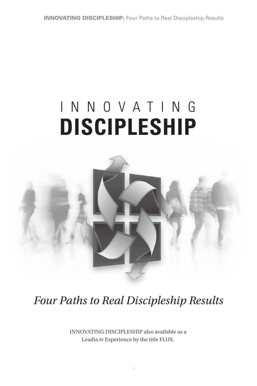# INNOVATING **DISCIPLESHIP**



# *Four Paths to Real Discipleship Results*

Innovating Discipleship also available as a Leadia.tv Experience by the title FLUX.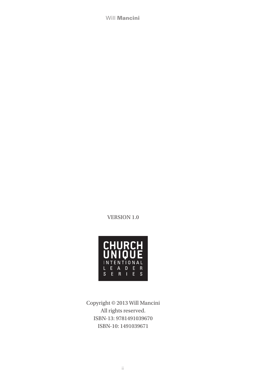Will **Mancini** 

VERSION 1.0



Copyright © 2013 Will Mancini All rights reserved. ISBN-13: 9781491039670 ISBN-10: 1491039671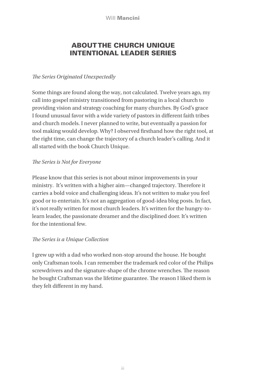## About the Church Unique Intentional Leader Series

## *The Series Originated Unexpectedly*

Some things are found along the way, not calculated. Twelve years ago, my call into gospel ministry transitioned from pastoring in a local church to providing vision and strategy coaching for many churches. By God's grace I found unusual favor with a wide variety of pastors in different faith tribes and church models. I never planned to write, but eventually a passion for tool making would develop. Why? I observed firsthand how the right tool, at the right time, can change the trajectory of a church leader's calling. And it all started with the book Church Unique.

### *The Series is Not for Everyone*

Please know that this series is not about minor improvements in your ministry. It's written with a higher aim—changed trajectory. Therefore it carries a bold voice and challenging ideas. It's not written to make you feel good or to entertain. It's not an aggregation of good-idea blog posts. In fact, it's not really written for most church leaders. It's written for the hungry-tolearn leader, the passionate dreamer and the disciplined doer. It's written for the intentional few.

### *The Series is a Unique Collection*

I grew up with a dad who worked non-stop around the house. He bought only Craftsman tools. I can remember the trademark red color of the Philips screwdrivers and the signature-shape of the chrome wrenches. The reason he bought Craftsman was the lifetime guarantee. The reason I liked them is they felt different in my hand.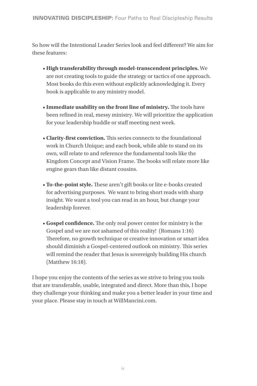So how will the Intentional Leader Series look and feel different? We aim for these features:

- **High transferability through model-transcendent principles.** We are not creating tools to guide the strategy or tactics of one approach. Most books do this even without explicitly acknowledging it. Every book is applicable to any ministry model.
- **Immediate usability on the front line of ministry.** The tools have been refined in real, messy ministry. We will prioritize the application for your leadership huddle or staff meeting next week.
- **Clarity-first conviction.** This series connects to the foundational work in Church Unique; and each book, while able to stand on its own, will relate to and reference the fundamental tools like the Kingdom Concept and Vision Frame. The books will relate more like engine gears than like distant cousins.
- **To-the-point style.** These aren't gift books or lite e-books created for advertising purposes. We want to bring short reads with sharp insight. We want a tool you can read in an hour, but change your leadership forever.
- **Gospel confidence.** The only real power center for ministry is the Gospel and we are not ashamed of this reality! (Romans 1:16) Therefore, no growth technique or creative innovation or smart idea should diminish a Gospel-centered outlook on ministry. This series will remind the reader that Jesus is sovereignly building His church (Matthew 16:18).

I hope you enjoy the contents of the series as we strive to bring you tools that are transferable, usable, integrated and direct. More than this, I hope they challenge your thinking and make you a better leader in your time and your place. Please stay in touch at WillMancini.com.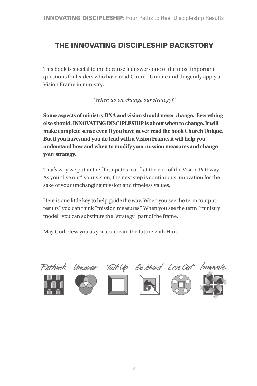## The INNOVATING DISCIPLESHIP Backstory

This book is special to me because it answers one of the most important questions for leaders who have read Church Unique and diligently apply a Vision Frame in ministry.

*"When do we change our strategy?"* 

**Some aspects of ministry DNA and vision should never change. Everything else should. INNOVATING DISCIPLESHIP is about when to change. It will make complete sense even if you have never read the book Church Unique. But if you have, and you do lead with a Vision Frame, it will help you understand how and when to modify your mission measures and change your strategy.**

That's why we put in the "four paths icon" at the end of the Vision Pathway. As you "live out" your vision, the next step is continuous innovation for the sake of your unchanging mission and timeless values.

Here is one little key to help guide the way. When you see the term "output results" you can think "mission measures." When you see the term "ministry model" you can substitute the "strategy" part of the frame.

May God bless you as you co-create the future with Him.

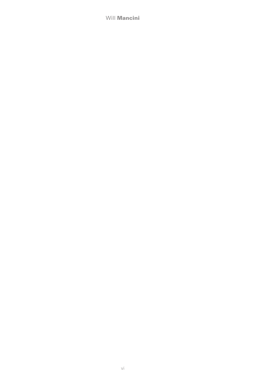Will **Mancini**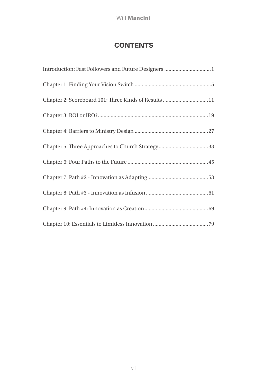## **CONTENTS**

| Introduction: Fast Followers and Future Designers 1   |
|-------------------------------------------------------|
|                                                       |
| Chapter 2: Scoreboard 101: Three Kinds of Results  11 |
|                                                       |
|                                                       |
|                                                       |
|                                                       |
|                                                       |
|                                                       |
|                                                       |
|                                                       |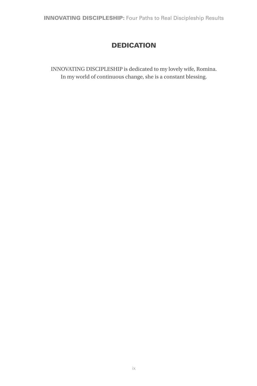# **DEDICATION**

INNOVATING DISCIPLESHIP is dedicated to my lovely wife, Romina. In my world of continuous change, she is a constant blessing.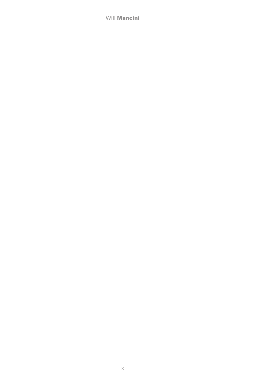Will **Mancini**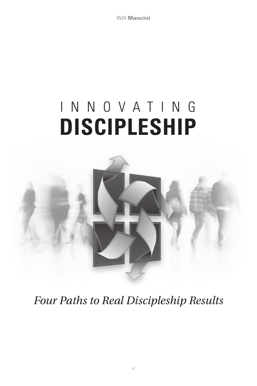Will **Mancini** 

# INNOVATING **DISCIPLESHIP**



*Four Paths to Real Discipleship Results*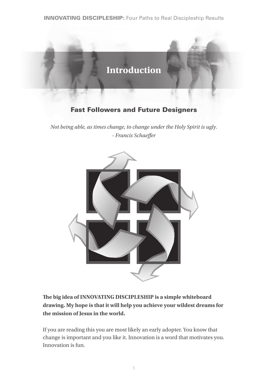# **Introduction**

# Fast Followers and Future Designers

*Not being able, as times change, to change under the Holy Spirit is ugly. - Francis Schaeffer*



**The big idea of INNOVATING DISCIPLESHIP is a simple whiteboard drawing. My hope is that it will help you achieve your wildest dreams for the mission of Jesus in the world.** 

If you are reading this you are most likely an early adopter. You know that change is important and you like it. Innovation is a word that motivates you. Innovation is fun.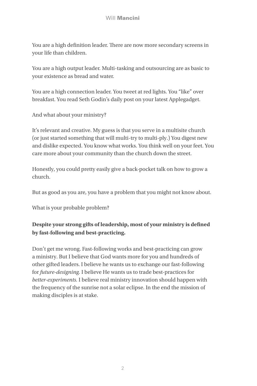You are a high definition leader. There are now more secondary screens in your life than children.

You are a high output leader. Multi-tasking and outsourcing are as basic to your existence as bread and water.

You are a high connection leader. You tweet at red lights. You "like" over breakfast. You read Seth Godin's daily post on your latest Applegadget.

And what about your ministry?

It's relevant and creative. My guess is that you serve in a multisite church (or just started something that will multi-try to multi-ply.) You digest new and dislike expected. You know what works. You think well on your feet. You care more about your community than the church down the street.

Honestly, you could pretty easily give a back-pocket talk on how to grow a church.

But as good as you are, you have a problem that you might not know about.

What is your probable problem?

## **Despite your strong gifts of leadership, most of your ministry is defined by fast-following and best-practicing.**

Don't get me wrong. Fast-following works and best-practicing can grow a ministry. But I believe that God wants more for you and hundreds of other gifted leaders. I believe he wants us to exchange our fast-following for *future-designing.* I believe He wants us to trade best-practices for *better-experiments.* I believe real ministry innovation should happen with the frequency of the sunrise not a solar eclipse. In the end the mission of making disciples is at stake.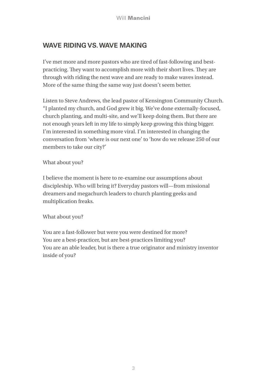## **WAVE RIDING VS. WAVE MAKING**

I've met more and more pastors who are tired of fast-following and bestpracticing. They want to accomplish more with their short lives. They are through with riding the next wave and are ready to make waves instead. More of the same thing the same way just doesn't seem better.

Listen to Steve Andrews, the lead pastor of Kensington Community Church. "I planted my church, and God grew it big. We've done externally-focused, church planting, and multi-site, and we'll keep doing them. But there are not enough years left in my life to simply keep growing this thing bigger. I'm interested in something more viral. I'm interested in changing the conversation from 'where is our next one' to 'how do we release 250 of our members to take our city?'

What about you?

I believe the moment is here to re-examine our assumptions about discipleship. Who will bring it? Everyday pastors will—from missional dreamers and megachurch leaders to church planting geeks and multiplication freaks.

What about you?

You are a fast-follower but were you were destined for more? You are a best-practicer, but are best-practices limiting you? You are an able leader, but is there a true originator and ministry inventor inside of you?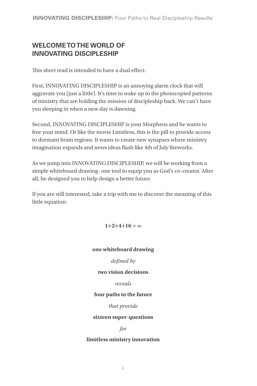## **WELCOME TO THE WORLD OF INNOVATING DISCIPLESHIP**

This short read is intended to have a dual effect.

First, INNOVATING DISCIPLESHIP is an annoying alarm clock that will aggravate you (just a little). It's time to wake up to the photocopied patterns of ministry that are holding the mission of discipleship back. We can't have you sleeping in when a new day is dawning.

Second, INNOVATING DISCIPLESHIP is your Morpheus and he wants to free your mind. Or like the movie Limitless, this is the pill to provide access to dormant brain regions. It wants to create new synapses where ministry imagination expands and news ideas flash like 4th of July fireworks.

As we jump into INNOVATING DISCIPLESHIP, we will be working from a simple whiteboard drawing- one tool to equip you as God's co-creator. After all, he designed you to help design a better future.

If you are still interested, take a trip with me to discover the meaning of this little equation:

**1+2+4+16** = ∞

### **one whiteboard drawing**

*defined by*

#### **two vision decisions**

*reveals*

### **four paths to the future**

*that provide*

#### **sixteen super-questions**

#### *for*

#### **limitless ministry innovation**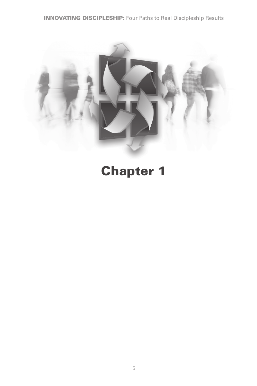

# Chapter 1

5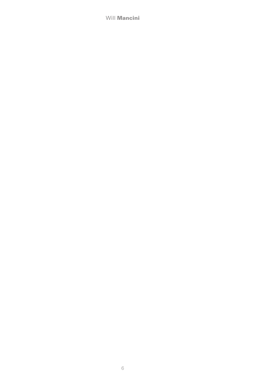Will **Mancini**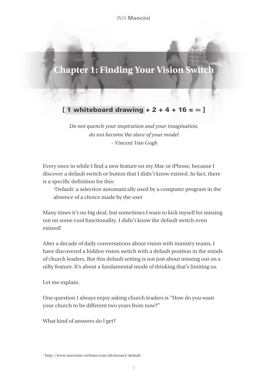# **Chapter 1: Finding Your Vision Switch**

## [ 1 whiteboard drawing +  $2 + 4 + 16 = \infty$  ]

*Do not quench your inspiration and your imagination, do not become the slave of your model - Vincent Van Gogh* 

Every once in while I find a new feature on my Mac or iPhone, because I discover a default switch or button that I didn't know existed. In fact, there is a specific definition for this:

1 Default: a selection automatically used by a computer program in the absence of a choice made by the user

Many times it's no big deal, but sometimes I want to kick myself for missing out on some cool functionality. I didn't know the default switch even existed!

After a decade of daily conversations about vision with ministry teams, I have discovered a hidden vision switch with a default position in the minds of church leaders. But this default setting is not just about missing out on a nifty feature. It's about a fundamental mode of thinking that's limiting us.

Let me explain.

One question I always enjoy asking church leaders is "How do you want your church to be different two years from now?"

What kind of answers do I get?

1 http://www.merriam-webster.com/dictionary/default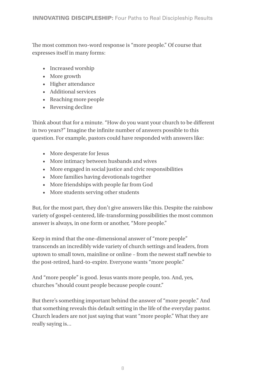The most common two-word response is "more people." Of course that expresses itself in many forms:

- Increased worship
- More growth
- Higher attendance
- Additional services
- Reaching more people
- Reversing decline

Think about that for a minute. "How do you want your church to be different in two years?" Imagine the infinite number of answers possible to this question. For example, pastors could have responded with answers like:

- More desperate for Jesus
- More intimacy between husbands and wives
- More engaged in social justice and civic responsibilities
- More families having devotionals together
- More friendships with people far from God
- More students serving other students

But, for the most part, they don't give answers like this. Despite the rainbow variety of gospel-centered, life-transforming possibilities the most common answer is always, in one form or another, "More people."

Keep in mind that the one-dimensional answer of "more people" transcends an incredibly wide variety of church settings and leaders, from uptown to small town, mainline or online – from the newest staff newbie to the post-retired, hard-to-expire. Everyone wants "more people."

And "more people" is good. Jesus wants more people, too. And, yes, churches "should count people because people count."

But there's something important behind the answer of "more people." And that something reveals this default setting in the life of the everyday pastor. Church leaders are not just saying that want "more people." What they are really saying is…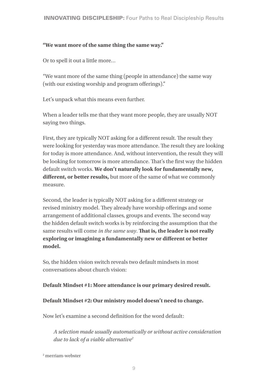## **"We want more of the same thing the same way."**

Or to spell it out a little more…

"We want more of the same thing (people in attendance) the same way (with our existing worship and program offerings)."

Let's unpack what this means even further.

When a leader tells me that they want more people, they are usually NOT saying two things.

First, they are typically NOT asking for a different result. The result they were looking for yesterday was more attendance. The result they are looking for today is more attendance. And, without intervention, the result they will be looking for tomorrow is more attendance. That's the first way the hidden default switch works. **We don't naturally look for fundamentally new, different, or better results,** but more of the same of what we commonly measure.

Second, the leader is typically NOT asking for a different strategy or revised ministry model. They already have worship offerings and some arrangement of additional classes, groups and events. The second way the hidden default switch works is by reinforcing the assumption that the same results will come *in the same way*. **That is, the leader is not really exploring or imagining a fundamentally new or different or better model.**

So, the hidden vision switch reveals two default mindsets in most conversations about church vision:

**Default Mindset #1: More attendance is our primary desired result.**

### **Default Mindset #2: Our ministry model doesn't need to change.**

Now let's examine a second definition for the word default:

*A selection made usually automatically or without active consideration due to lack of a viable alternative2*

2 merriam-webster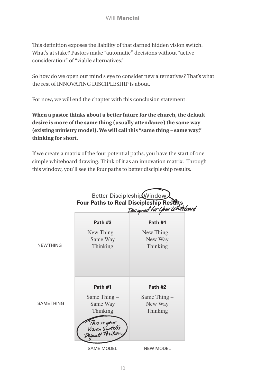This definition exposes the liability of that darned hidden vision switch. What's at stake? Pastors make "automatic" decisions without "active consideration" of "viable alternatives."

So how do we open our mind's eye to consider new alternatives? That's what the rest of INNOVATING DISCIPLESHIP is about.

For now, we will end the chapter with this conclusion statement:

**When a pastor thinks about a better future for the church, the default desire is more of the same thing (usually attendance) the same way (existing ministry model). We will call this "same thing – same way," thinking for short.** 

If we create a matrix of the four potential paths, you have the start of one simple whiteboard drawing. Think of it as an innovation matrix. Through this window, you'll see the four paths to better discipleship results.

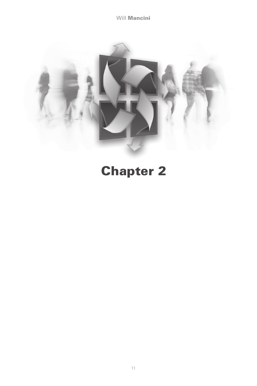Will **Mancini** 



# Chapter 2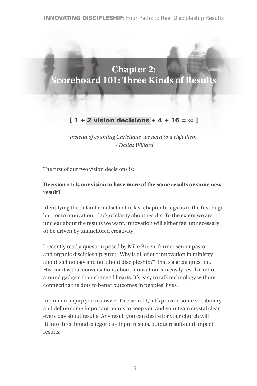# **Chapter 2: Scoreboard 101: Three Kinds of Results**

## $[1 + 2$  vision decisions + 4 + 16 =  $\infty$  ]

*Instead of counting Christians, we need to weigh them. - Dallas Willard*

The first of our two vision decisions is:

## **Decision #1: Is our vision to have more of the same results or some new result?**

Identifying the default mindset in the last chapter brings us to the first huge barrier to innovation – lack of clarity about results. To the extent we are unclear about the results we want, innovation will either feel unnecessary or be driven by unanchored creativity.

I recently read a question posed by Mike Breen, former senior pastor and organic discipleship guru: "Why is all of our innovation in ministry about technology and not about discipleship?" That's a great question. His point is that conversations about innovation can easily revolve more around gadgets than changed hearts. It's easy to talk technology without connecting the dots to better outcomes in peoples' lives.

In order to equip you to answer Decision #1, let's provide some vocabulary and define some important points to keep you and your team crystal clear every day about results. Any result you can desire for your church will fit into three broad categories – input results, output results and impact results.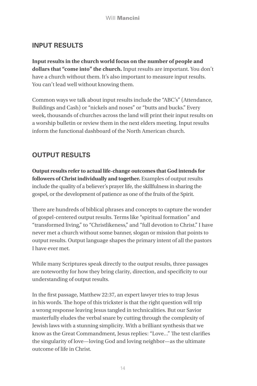## **INPUT RESULTS**

**Input results in the church world focus on the number of people and dollars that "come into" the church.** Input results are important. You don't have a church without them. It's also important to measure input results. You can't lead well without knowing them.

Common ways we talk about input results include the "ABC's" (Attendance, Buildings and Cash) or "nickels and noses" or "butts and bucks." Every week, thousands of churches across the land will print their input results on a worship bulletin or review them in the next elders meeting. Input results inform the functional dashboard of the North American church.

## **OUTPUT RESULTS**

**Output results refer to actual life-change outcomes that God intends for followers of Christ individually and together.** Examples of output results include the quality of a believer's prayer life, the skillfulness in sharing the gospel, or the development of patience as one of the fruits of the Spirit.

There are hundreds of biblical phrases and concepts to capture the wonder of gospel-centered output results. Terms like "spiritual formation" and "transformed living," to "Christlikeness," and "full devotion to Christ." I have never met a church without some banner, slogan or mission that points to output results. Output language shapes the primary intent of all the pastors I have ever met.

While many Scriptures speak directly to the output results, three passages are noteworthy for how they bring clarity, direction, and specificity to our understanding of output results.

In the first passage, Matthew 22:37, an expert lawyer tries to trap Jesus in his words. The hope of this trickster is that the right question will trip a wrong response leaving Jesus tangled in technicalities. But our Savior masterfully eludes the verbal snare by cutting through the complexity of Jewish laws with a stunning simplicity. With a brilliant synthesis that we know as the Great Commandment, Jesus replies: "Love…" The text clarifies the singularity of love—loving God and loving neighbor—as the ultimate outcome of life in Christ.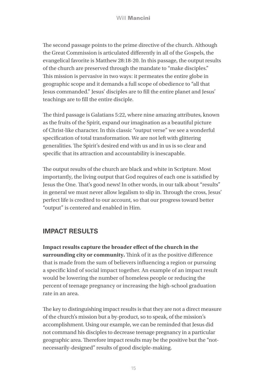The second passage points to the prime directive of the church. Although the Great Commission is articulated differently in all of the Gospels, the evangelical favorite is Matthew 28:18-20. In this passage, the output results of the church are preserved through the mandate to "make disciples." This mission is pervasive in two ways: it permeates the entire globe in geographic scope and it demands a full scope of obedience to "all that Jesus commanded." Jesus' disciples are to fill the entire planet and Jesus' teachings are to fill the entire disciple.

The third passage is Galatians 5:22, where nine amazing attributes, known as the fruits of the Spirit, expand our imagination as a beautiful picture of Christ-like character. In this classic "output verse" we see a wonderful specification of total transformation. We are not left with glittering generalities. The Spirit's desired end with us and in us is so clear and specific that its attraction and accountability is inescapable.

The output results of the church are black and white in Scripture. Most importantly, the living output that God requires of each one is satisfied by Jesus the One. That's good news! In other words, in our talk about "results" in general we must never allow legalism to slip in. Through the cross, Jesus' perfect life is credited to our account, so that our progress toward better "output" is centered and enabled in Him.

# **IMPACT RESULTS**

**Impact results capture the broader effect of the church in the surrounding city or community.** Think of it as the positive difference that is made from the sum of believers influencing a region or pursuing a specific kind of social impact together. An example of an impact result would be lowering the number of homeless people or reducing the percent of teenage pregnancy or increasing the high-school graduation rate in an area.

The key to distinguishing impact results is that they are not a direct measure of the church's mission but a by-product, so to speak, of the mission's accomplishment. Using our example, we can be reminded that Jesus did not command his disciples to decrease teenage pregnancy in a particular geographic area. Therefore impact results may be the positive but the "notnecessarily-designed" results of good disciple-making.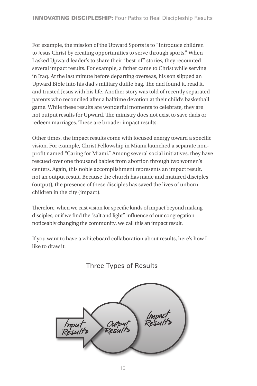For example, the mission of the Upward Sports is to "Introduce children to Jesus Christ by creating opportunities to serve through sports." When I asked Upward leader's to share their "best-of" stories, they recounted several impact results. For example, a father came to Christ while serving in Iraq. At the last minute before departing overseas, his son slipped an Upward Bible into his dad's military duffle bag. The dad found it, read it, and trusted Jesus with his life. Another story was told of recently separated parents who reconciled after a halftime devotion at their child's basketball game. While these results are wonderful moments to celebrate, they are not output results for Upward. The ministry does not exist to save dads or redeem marriages. These are broader impact results.

Other times, the impact results come with focused energy toward a specific vision. For example, Christ Fellowship in Miami launched a separate nonprofit named "Caring for Miami." Among several social initiatives, they have rescued over one thousand babies from abortion through two women's centers. Again, this noble accomplishment represents an impact result, not an output result. Because the church has made and matured disciples (output), the presence of these disciples has saved the lives of unborn children in the city (impact).

Therefore, when we cast vision for specific kinds of impact beyond making disciples, or if we find the "salt and light" influence of our congregation noticeably changing the community, we call this an impact result.

If you want to have a whiteboard collaboration about results, here's how I like to draw it.

Three Types of Results

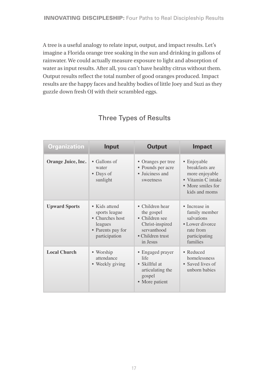A tree is a useful analogy to relate input, output, and impact results. Let's imagine a Florida orange tree soaking in the sun and drinking in gallons of rainwater. We could actually measure exposure to light and absorption of water as input results. After all, you can't have healthy citrus without them. Output results reflect the total number of good oranges produced. Impact results are the happy faces and healthy bodies of little Joey and Suzi as they guzzle down fresh OJ with their scrambled eggs.

| <b>Organization</b>       | Input                                                                                              | <b>Output</b>                                                                                                     | <b>Impact</b>                                                                                                       |
|---------------------------|----------------------------------------------------------------------------------------------------|-------------------------------------------------------------------------------------------------------------------|---------------------------------------------------------------------------------------------------------------------|
| <b>Orange Juice, Inc.</b> | $\bullet$ Gallons of<br>water<br>• Days of<br>sunlight                                             | • Oranges per tree<br>• Pounds per acre<br>• Juiciness and<br>sweetness                                           | • Enjoyable<br>breakfasts are<br>more enjoyable<br>$\bullet$ Vitamin C intake<br>• More smiles for<br>kids and moms |
| <b>Upward Sports</b>      | • Kids attend<br>sports league<br>• Churches host<br>leagues<br>• Parents pay for<br>participation | • Children hear<br>the gospel<br>• Children see<br>Christ-inspired<br>servanthood<br>• Children trust<br>in Jesus | • Increase in<br>family member<br>salvations<br>• Lower divorce<br>rate from<br>participating<br>families           |
| <b>Local Church</b>       | • Worship<br>attendance<br>• Weekly giving                                                         | • Engaged prayer<br>life.<br>• Skillful at<br>articulating the<br>gospel<br>• More patient                        | • Reduced<br>homelessness<br>• Saved lives of<br>unborn babies                                                      |

# Three Types of Results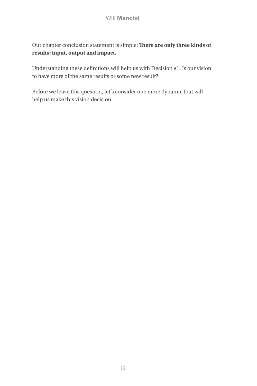## Our chapter conclusion statement is simple: **There are only three kinds of results: input, output and impact.**

Understanding these definitions will help us with Decision #1: Is our vision to have more of the same results or some new result?

Before we leave this question, let's consider one more dynamic that will help us make this vision decision.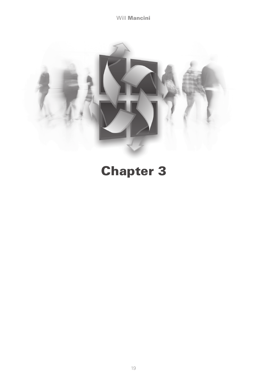Will **Mancini** 



# Chapter 3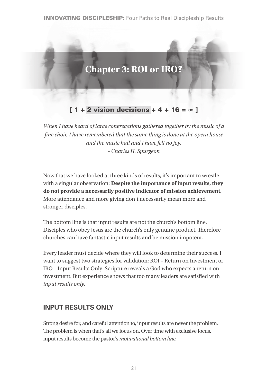# **Chapter 3: ROI or IRO?**

## $[1 + 2$  vision decisions + 4 + 16 =  $\infty$  ]

*When I have heard of large congregations gathered together by the music of a fine choir, I have remembered that the same thing is done at the opera house and the music hall and I have felt no joy. - Charles H. Spurgeon*

Now that we have looked at three kinds of results, it's important to wrestle with a singular observation: **Despite the importance of input results, they do not provide a necessarily positive indicator of mission achievement.** More attendance and more giving don't necessarily mean more and stronger disciples.

The bottom line is that input results are not the church's bottom line. Disciples who obey Jesus are the church's only genuine product. Therefore churches can have fantastic input results and be mission impotent.

Every leader must decide where they will look to determine their success. I want to suggest two strategies for validation: ROI – Return on Investment or IRO – Input Results Only. Scripture reveals a God who expects a return on investment. But experience shows that too many leaders are satisfied with *input results only.*

## **INPUT RESULTS ONLY**

Strong desire for, and careful attention to, input results are never the problem. The problem is when that's all we focus on. Over time with exclusive focus, input results become the pastor's *motivational bottom line.*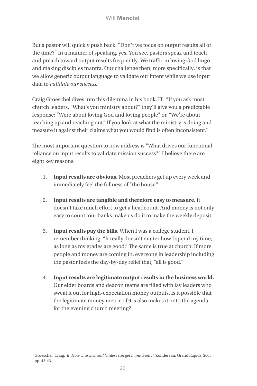But a pastor will quickly push back. "Don't we focus on output results all of the time?" In a manner of speaking, yes. You see, pastors speak and teach and preach toward output results frequently. We traffic in loving God lingo and making disciples mantra. Our challenge then, more specifically, is that we allow generic output language to validate our intent while we use input data to *validate our success.*

Craig Groeschel dives into this dilemma in his book, IT: "If you ask most church leaders, "What's you ministry about?" they'll give you a predictable response: "Were about loving God and loving people" or, "We're about reaching up and reaching out." If you look at what the ministry is doing and measure it against their claims what you would find is often inconsistent."

The most important question to now address is "What drives our functional reliance on input results to validate mission success?" I believe there are eight key reasons.

- 1. **Input results are obvious.** Most preachers get up every week and immediately feel the fullness of "the house."
- 2. **Input results are tangible and therefore easy to measure.** It doesn't take much effort to get a headcount. And money is not only easy to count; our banks make us do it to make the weekly deposit.
- 3. **Input results pay the bills.** When I was a college student, I remember thinking, "It really doesn't matter how I spend my time, as long as my grades are good." The same is true at church. If more people and money are coming in, everyone in leadership including the pastor feels the day-by-day relief that, "all is good."
- 4. **Input results are legitimate output results in the business world.**  Our elder boards and deacon teams are filled with lay leaders who sweat it out for high-expectation money outputs. Is it possible that the legitimate money metric of 9-5 also makes it onto the agenda for the evening church meeting?

<sup>3</sup> Groeschel, Craig. *It: How churches and leaders can get it and keep it.* Zondervan: Grand Rapids, 2008, pp. 42-43.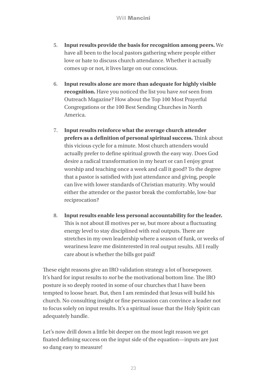- 5. **Input results provide the basis for recognition among peers.** We have all been to the local pastors gathering where people either love or hate to discuss church attendance. Whether it actually comes up or not, it lives large on our conscious.
- 6. **Input results alone are more than adequate for highly visible recognition.** Have you noticed the list you have *not* seen from Outreach Magazine? How about the Top 100 Most Prayerful Congregations or the 100 Best Sending Churches in North America.
- 7. **Input results reinforce what the average church attender prefers as a definition of personal spiritual success.** Think about this vicious cycle for a minute. Most church attenders would actually prefer to define spiritual growth the easy way. Does God desire a radical transformation in my heart or can I enjoy great worship and teaching once a week and call it good? To the degree that a pastor is satisfied with just attendance and giving, people can live with lower standards of Christian maturity. Why would either the attender or the pastor break the comfortable, low-bar reciprocation?
- 8. **Input results enable less personal accountability for the leader.** This is not about ill motives per se, but more about a fluctuating energy level to stay disciplined with real outputs. There are stretches in my own leadership where a season of funk, or weeks of weariness leave me disinterested in real output results. All I really care about is whether the bills got paid!

These eight reasons give an IRO validation strategy a lot of horsepower. It's hard for input results to *not* be the motivational bottom line. The IRO posture is so deeply rooted in some of our churches that I have been tempted to loose heart. But, then I am reminded that Jesus will build his church. No consulting insight or fine persuasion can convince a leader not to focus solely on input results. It's a spiritual issue that the Holy Spirit can adequately handle.

Let's now drill down a little bit deeper on the most legit reason we get fixated defining success on the input side of the equation—inputs are just so dang easy to measure!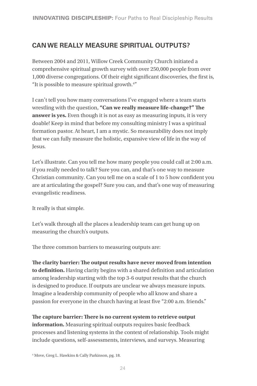## **CAN WE REALLY MEASURE SPIRITUAL OUTPUTS?**

Between 2004 and 2011, Willow Creek Community Church initiated a comprehensive spiritual growth survey with over 250,000 people from over 1,000 diverse congregations. Of their eight significant discoveries, the first is, "It is possible to measure spiritual growth.<sup>4"</sup>

I can't tell you how many conversations I've engaged where a team starts wrestling with the question, **"Can we really measure life-change?" The answer is yes.** Even though it is not as easy as measuring inputs, it is very doable! Keep in mind that before my consulting ministry I was a spiritual formation pastor. At heart, I am a mystic. So measurability does not imply that we can fully measure the holistic, expansive view of life in the way of Jesus.

Let's illustrate. Can you tell me how many people you could call at 2:00 a.m. if you really needed to talk? Sure you can, and that's one way to measure Christian community. Can you tell me on a scale of 1 to 5 how confident you are at articulating the gospel? Sure you can, and that's one way of measuring evangelistic readiness.

It really is that simple.

Let's walk through all the places a leadership team can get hung up on measuring the church's outputs.

The three common barriers to measuring outputs are:

**The clarity barrier: The output results have never moved from intention to definition.** Having clarity begins with a shared definition and articulation among leadership starting with the top 3-6 output results that the church is designed to produce. If outputs are unclear we always measure inputs. Imagine a leadership community of people who all know and share a passion for everyone in the church having at least five "2:00 a.m. friends."

**The capture barrier: There is no current system to retrieve output information.** Measuring spiritual outputs requires basic feedback processes and listening systems in the context of relationship. Tools might include questions, self-assessments, interviews, and surveys. Measuring

<sup>4</sup> Move, Greg L. Hawkins & Cally Parkinson, pg. 18.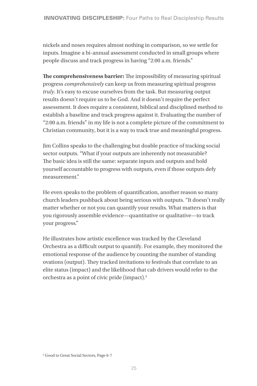nickels and noses requires almost nothing in comparison, so we settle for inputs. Imagine a bi-annual assessment conducted in small groups where people discuss and track progress in having "2:00 a.m. friends."

**The comprehensiveness barrier:** The impossibility of measuring spiritual progress *comprehensively* can keep us from measuring spiritual progress *truly*. It's easy to excuse ourselves from the task. But measuring output results doesn't require us to be God. And it doesn't require the perfect assessment. It does require a consistent, biblical and disciplined method to establish a baseline and track progress against it. Evaluating the number of "2:00 a.m. friends" in my life is not a complete picture of the commitment to Christian community, but it is a way to track true and meaningful progress.

Jim Collins speaks to the challenging but doable practice of tracking social sector outputs. "What if your outputs are inherently not measurable? The basic idea is still the same: separate inputs and outputs and hold yourself accountable to progress with outputs, even if those outputs defy measurement."

He even speaks to the problem of quantification, another reason so many church leaders pushback about being serious with outputs. "It doesn't really matter whether or not you can quantify your results. What matters is that you rigorously assemble evidence—quantitative or qualitative—to track your progress."

He illustrates how artistic excellence was tracked by the Cleveland Orchestra as a difficult output to quantify. For example, they monitored the emotional response of the audience by counting the number of standing ovations (output). They tracked invitations to festivals that correlate to an elite status (impact) and the likelihood that cab drivers would refer to the orchestra as a point of civic pride (impact).5

<sup>5</sup> Good to Great Social Sectors, Page 6-7